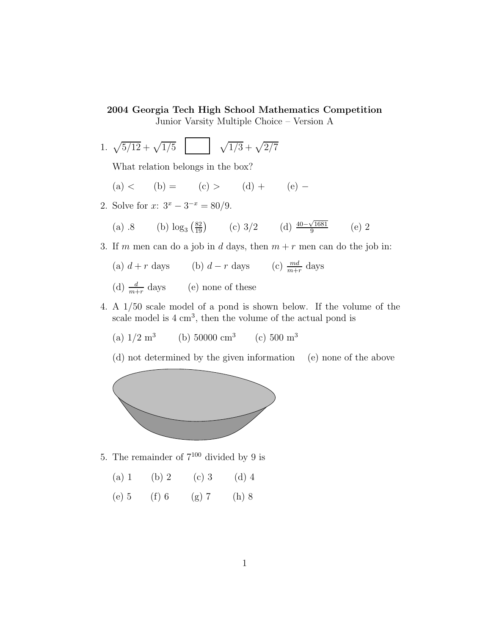## 2004 Georgia Tech High School Mathematics Competition

Junior Varsity Multiple Choice – Version A

1.  $\sqrt{5/12} + \sqrt{1/5}$  |  $\sqrt{1/3} + \sqrt{2/7}$ 

What relation belongs in the box?

- (a) < (b) = (c) > (d) + (e) –
- 2. Solve for  $x: 3^x 3^{-x} = 80/9$ .
	- (a) .8 (b)  $\log_3(\frac{82}{19})$  (c) 3/2 (d)  $\frac{40-\sqrt{1681}}{9}$  $\frac{\sqrt{1681}}{9}$  (e) 2
- 3. If m men can do a job in d days, then  $m + r$  men can do the job in:
	- (a)  $d + r$  days (b)  $d r$  days (c)  $\frac{md}{m+r}$  days
	- (d)  $\frac{d}{m+r}$  days (e) none of these
- 4. A 1/50 scale model of a pond is shown below. If the volume of the scale model is  $4 \text{ cm}^3$ , then the volume of the actual pond is
	- (a)  $1/2 \text{ m}^3$ (b)  $50000 \text{ cm}^3$  (c)  $500 \text{ m}^3$

(d) not determined by the given information (e) none of the above



5. The remainder of  $7^{100}$  divided by 9 is

| $(a)$ 1 | (b) 2 | $(c)$ 3 | $(d)$ 4 |
|---------|-------|---------|---------|
|         |       |         |         |

(e) 5 (f) 6 (g) 7 (h) 8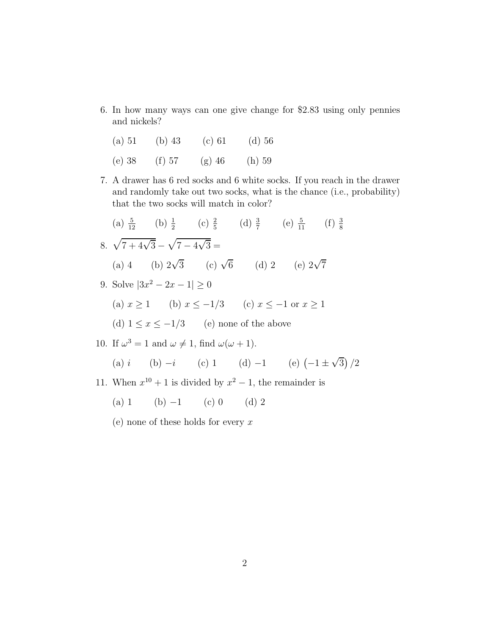6. In how many ways can one give change for \$2.83 using only pennies and nickels?

| (a) 51   | (b) $43$ | $(c)$ 61 | $(d)$ 56 |
|----------|----------|----------|----------|
| $(e)$ 38 | $(f)$ 57 | $(g)$ 46 | $(h)$ 59 |

7. A drawer has 6 red socks and 6 white socks. If you reach in the drawer and randomly take out two socks, what is the chance (i.e., probability) that the two socks will match in color?

(a) 
$$
\frac{5}{12}
$$
 (b)  $\frac{1}{2}$  (c)  $\frac{2}{5}$  (d)  $\frac{3}{7}$  (e)  $\frac{5}{11}$  (f)  $\frac{3}{8}$   
\n8.  $\sqrt{7 + 4\sqrt{3}} - \sqrt{7 - 4\sqrt{3}} =$   
\n(a) 4 (b)  $2\sqrt{3}$  (c)  $\sqrt{6}$  (d) 2 (e)  $2\sqrt{7}$   
\n9. Solve  $|3x^2 - 2x - 1| \ge 0$   
\n(a)  $x \ge 1$  (b)  $x \le -1/3$  (c)  $x \le -1$  or  $x \ge 1$   
\n(d)  $1 \le x \le -1/3$  (e) none of the above

10. If  $\omega^3 = 1$  and  $\omega \neq 1$ , find  $\omega(\omega + 1)$ .

(a) 
$$
i
$$
 (b)  $-i$  (c) 1 (d)  $-1$  (e)  $(-1 \pm \sqrt{3})/2$ 

- 11. When  $x^{10} + 1$  is divided by  $x^2 1$ , the remainder is
	- (a) 1 (b)  $-1$  (c) 0 (d) 2
	- (e) none of these holds for every  $x$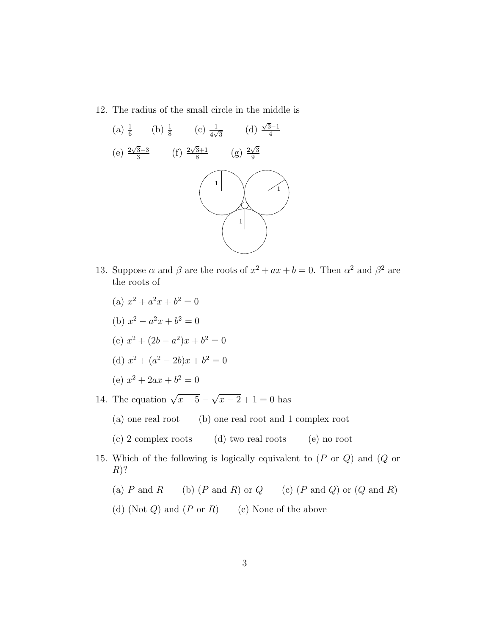12. The radius of the small circle in the middle is



- 13. Suppose  $\alpha$  and  $\beta$  are the roots of  $x^2 + ax + b = 0$ . Then  $\alpha^2$  and  $\beta^2$  are the roots of
	- (a)  $x^2 + a^2x + b^2 = 0$
	- (b)  $x^2 a^2x + b^2 = 0$
	- (c)  $x^2 + (2b a^2)x + b^2 = 0$
	- (d)  $x^2 + (a^2 2b)x + b^2 = 0$
	- (e)  $x^2 + 2ax + b^2 = 0$
- 14. The equation  $\sqrt{x+5} \sqrt{x-2} + 1 = 0$  has
	- (a) one real root (b) one real root and 1 complex root
	- (c) 2 complex roots (d) two real roots (e) no root
- 15. Which of the following is logically equivalent to (P or Q) and (Q or  $R$ ?

(a)  $P$  and  $R$  (b)  $(P \text{ and } R)$  or  $Q$  (c)  $(P \text{ and } Q)$  or  $(Q \text{ and } R)$ 

(d) (Not  $Q$ ) and  $(P \text{ or } R)$  (e) None of the above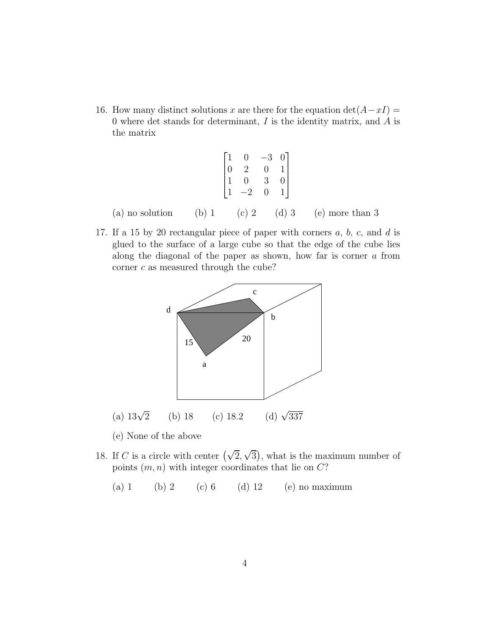16. How many distinct solutions x are there for the equation  $det(A-xI) =$ 0 where det stands for determinant,  $I$  is the identity matrix, and  $A$  is the matrix

|  | $\begin{bmatrix} 1 & 0 & -3 & 0 \\ 0 & 2 & 0 & 1 \\ 1 & 0 & 3 & 0 \\ 1 & -2 & 0 & 1 \end{bmatrix}$ |                                                   |
|--|----------------------------------------------------------------------------------------------------|---------------------------------------------------|
|  |                                                                                                    | (a) no solution (b) 1 (c) 2 (d) 3 (e) more than 3 |

17. If a 15 by 20 rectangular piece of paper with corners  $a, b, c,$  and  $d$  is glued to the surface of a large cube so that the edge of the cube lies along the diagonal of the paper as shown, how far is corner a from corner  $c$  as measured through the cube?



- (e) None of the above
- 18. If C is a circle with center  $(\sqrt{2}, \sqrt{3})$ , what is the maximum number of points  $(m, n)$  with integer coordinates that lie on  $C$ ?
	- (a) 1 (b) 2 (c) 6 (d) 12 (e) no maximum